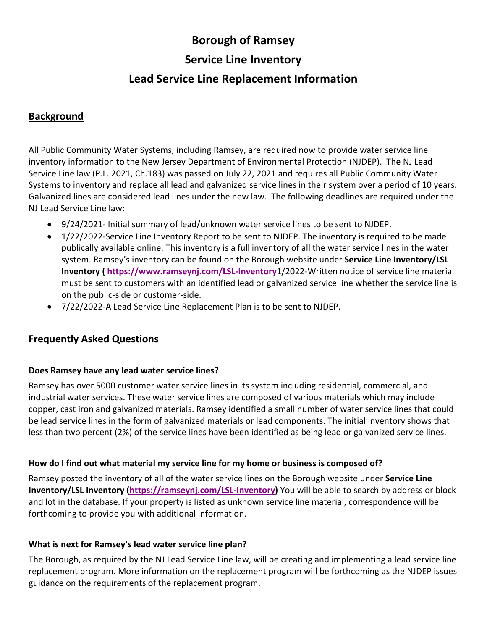# **Borough of Ramsey**

## **Service Line Inventory**

# **Lead Service Line Replacement Information**

### **Background**

All Public Community Water Systems, including Ramsey, are required now to provide water service line inventory information to the New Jersey Department of Environmental Protection (NJDEP). The NJ Lead Service Line law (P.L. 2021, Ch.183) was passed on July 22, 2021 and requires all Public Community Water Systems to inventory and replace all lead and galvanized service lines in their system over a period of 10 years. Galvanized lines are considered lead lines under the new law. The following deadlines are required under the NJ Lead Service Line law:

- 9/24/2021- Initial summary of lead/unknown water service lines to be sent to NJDEP.
- 1/22/2022-Service Line Inventory Report to be sent to NJDEP. The inventory is required to be made publically available online. This inventory is a full inventory of all the water service lines in the water system. Ramsey's inventory can be found on the Borough website under **Service Line Inventory/LSL Inventory ( [https://www.ramseynj.com/LSL-Inventory](https://ramseynj.com/DocumentCenter/View/4143/LSL-Inventory)**1/2022-Written notice of service line material must be sent to customers with an identified lead or galvanized service line whether the service line is on the public-side or customer-side.
- 7/22/2022-A Lead Service Line Replacement Plan is to be sent to NJDEP.

### **Frequently Asked Questions**

### **Does Ramsey have any lead water service lines?**

Ramsey has over 5000 customer water service lines in its system including residential, commercial, and industrial water services. These water service lines are composed of various materials which may include copper, cast iron and galvanized materials. Ramsey identified a small number of water service lines that could be lead service lines in the form of galvanized materials or lead components. The initial inventory shows that less than two percent (2%) of the service lines have been identified as being lead or galvanized service lines.

### **How do I find out what material my service line for my home or business is composed of?**

Ramsey posted the inventory of all of the water service lines on the Borough website under **Service Line Inventory/LSL Inventory [\(https://ramseynj.com/LSL-Inventory\)](https://ramseynj.com/DocumentCenter/View/4143/LSL-Inventory)** You will be able to search by address or block and lot in the database. If your property is listed as unknown service line material, correspondence will be forthcoming to provide you with additional information.

### **What is next for Ramsey's lead water service line plan?**

The Borough, as required by the NJ Lead Service Line law, will be creating and implementing a lead service line replacement program. More information on the replacement program will be forthcoming as the NJDEP issues guidance on the requirements of the replacement program.